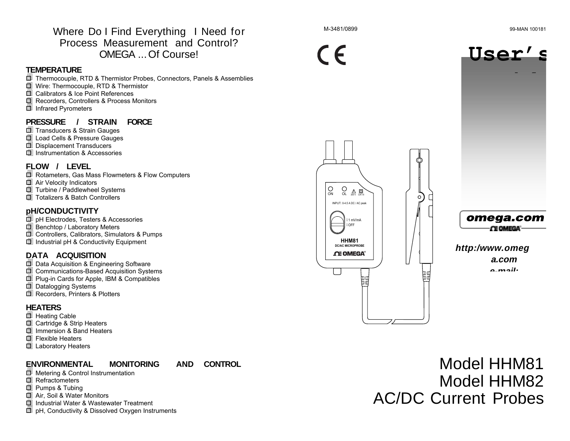Where Do I Find Everything I Need for Process Measurement and Control? OMEGA ... Of Course!

#### **TEMPERATURE**

圖 Thermocouple, RTD & Thermistor Probes, Connectors, Panels & Assemblies 1 Wire: Thermocouple, RTD & Thermistor 圖 Calibrators & Ice Point References 1 Recorders, Controllers & Process Monitors **f** Infrared Pyrometers

#### **PRESSURE / STRAIN FORCE**

- **I** Transducers & Strain Gauges
- 1 Load Cells & Pressure Gauges
- **I** Displacement Transducers
- **I** Instrumentation & Accessories

#### **FLOW / LEVEL**

- 圖 Rotameters, Gas Mass Flowmeters & Flow Computers **B** Air Velocity Indicators 1 Turbine / Paddlewheel Systems 13 Totalizers & Batch Controllers
- **pH/CONDUCTIVITY**
- · **I** pH Electrodes, Testers & Accessories 1 Benchtop / Laboratory Meters **f** Controllers, Calibrators, Simulators & Pumps III Industrial pH & Conductivity Equipment

#### **DATA ACQUISITION**

**f** Data Acquisition & Engineering Software **f** Communications-Based Acquisition Systems **f** Plug-in Cards for Apple, IBM & Compatibles 1 Datalogging Systems **I** Recorders, Printers & Plotters

#### **HEATERS**

- 围 Heating Cable
- 1 Cartridge & Strip Heaters
- la Immersion & Band Heaters
- **国 Flexible Heaters**
- 1 Laboratory Heaters

### **ENVIRONMENTAL MONITORING AND CONTROL**

- 圖 Metering & Control Instrumentation **I** Refractometers
- 
- 1 Pumps & Tubing
- 13 Air, Soil & Water Monitors
- **国 Industrial Water & Wastewater Treatment**
- 僵 pH, Conductivity & Dissolved Oxygen Instruments







Model HHM81 Model HHM82 AC/DC Current Probes



 $\circ$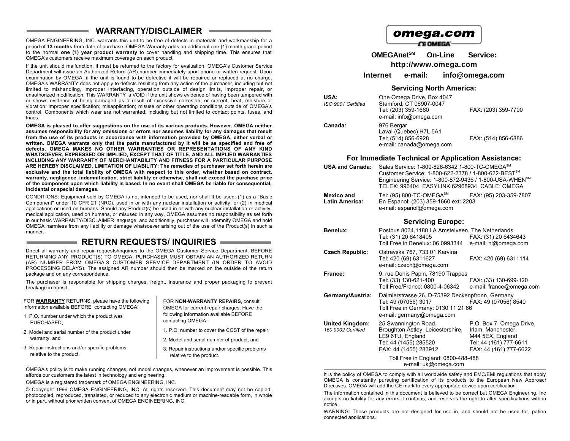#### **WARRANTY/DISCLAIMER**

OMEGA ENGINEERING, INC. warrants this unit to be free of defects in materials and workmanship for a period of **13 months** from date of purchase. OMEGA Warranty adds an additional one (1) month grace period to the normal **one (1) year product warranty** to cover handling and shipping time. This ensures that OMEGA's customers receive maximum coverage on each product.

If the unit should malfunction, it must be returned to the factory for evaluation. OMEGA's Customer Service Department will issue an Authorized Return (AR) number immediately upon phone or written request. Upon examination by OMEGA, if the unit is found to be defective it will be repaired or replaced at no charge. OMEGA's WARRANTY does not apply to defects resulting from any action of the purchaser, including but not limited to mishandling, improper interfacing, operation outside of design limits, improper repair, or unauthorized modification. This WARRANTY is VOID if the unit shows evidence of having been tampered with or shows evidence of being damaged as a result of excessive corrosion; or current, heat, moisture or vibration; improper specification; misapplication; misuse or other operating conditions outside of OMEGA's control. Components which wear are not warranted, including but not limited to contact points, fuses, and triacs.

**OMEGA is pleased to offer suggestions on the use of its various products. However, OMEGA neither assumes responsibility for any omissions or errors nor assumes liability for any damages that result from the use of its products in accordance with information provided by OMEGA, either verbal or written. OMEGA warrants only that the parts manufactured by it will be as specified and free of defects. OMEGA MAKES NO OTHER WARRANTIES OR REPRESENTATIONS OF ANY KIND WHATSOEVER, EXPRESSED OR IMPLIED, EXCEPT THAT OF TITLE, AND ALL IMPLIED WARRANTIES INCLUDING ANY WARRANTY OF MERCHANTABILITY AND FITNESS FOR A PARTICULAR PURPOSE ARE HEREBY DISCLAIMED. LIMITATION OF LIABILITY: The remedies of purchaser set forth herein are exclusive and the total liability of OMEGA with respect to this order, whether based on contract, warranty, negligence, indemnification, strict liability or otherwise, shall not exceed the purchase price of the component upon which liability is based. In no event shall OMEGA be liable for consequential, incidental or special damages.**

CONDITIONS: Equipment sold by OMEGA is not intended to be used, nor shall it be used: (1) as a "Basic Component" under 10 CFR 21 (NRC), used in or with any nuclear installation or activity; or (2) in medical applications or used on humans. Should any Product(s) be used in or with any nuclear installation or activity, medical application, used on humans, or misused in any way, OMEGA assumes no responsibility as set forth in our basic WARRANTY/DISCLAIMER language, and additionally, purchaser will indemnify OMEGA and hold OMEGA harmless from any liability or damage whatsoever arising out of the use of the Product(s) in such a manner.

#### **RETURN REQUESTS/ INQUIRIES**

Direct all warranty and repair requests/inquiries to the OMEGA Customer Service Department. BEFORE RETURNING ANY PRODUCT(S) TO OMEGA, PURCHASER MUST OBTAIN AN AUTHORIZED RETURN (AR) NUMBER FROM OMEGA'S CUSTOMER SERVICE DEPARTMENT (IN ORDER TO AVOID PROCESSING DELAYS). The assigned AR number should then be marked on the outside of the return package and on any correspondence.

The purchaser is responsible for shipping charges, freight, insurance and proper packaging to prevent breakage in transit.

| FOR WARRANTY RETURNS, please have the following                  | FOR NON-WARRANTY REPAIRS, consult               |  |
|------------------------------------------------------------------|-------------------------------------------------|--|
| information available BEFORE contacting OMEGA:                   | OMEGA for current repair charges. Have the      |  |
| 1. P.O. number under which the product was                       | following information available BEFORE          |  |
| PURCHASED.                                                       | contacting OMEGA:                               |  |
| 2. Model and serial number of the product under<br>warranty, and | 1. P.O. number to cover the COST of the repair. |  |
|                                                                  | 2. Model and serial number of product, and      |  |
| 3. Repair instructions and/or specific problems                  | 3. Repair instructions and/or specific problems |  |
| relative to the product.                                         | relative to the product.                        |  |

OMEGA's policy is to make running changes, not model changes, whenever an improvement is possible. This affords our customers the latest in technology and engineering.

OMEGA is a registered trademark of OMEGA ENGINEERING, INC.

© Copyright 1996 OMEGA ENGINEERING, INC. All rights reserved. This document may not be copied, photocopied, reproduced, translated, or reduced to any electronic medium or machine-readable form, in whole or in part, without prior written consent of OMEGA ENGINEERING, INC.

## omega.com

**CE OMEGA** 

**OMEGAnetSM On-Line Service: http://www.omega.com**

**Internet e-mail: info@omega.com**

#### **Servicing North America:**

| USA:<br>ISO 9001 Certified | One Omega Drive, Box 4047<br>Stamford, CT 06907-0047<br>Tel: (203) 359-1660<br>e-mail: info@omega.com | FAX: (203) 359-7700 |
|----------------------------|-------------------------------------------------------------------------------------------------------|---------------------|
| Canada:                    | 976 Bergar<br>Laval (Quebec) H7L 5A1<br>Tel: (514) 856-6928<br>e-mail: canada@omega.com               | FAX: (514) 856-6886 |

#### **For Immediate Technical or Application Assistance:**

| <b>USA and Canada:</b>                     | Sales Service: 1-800-826-6342 1-800-TC-OMEGA <sup>SM</sup><br>Customer Service: 1-800-622-2378 / 1-800-622-BEST <sup>SM</sup><br>Engineering Service: 1-800-872-9436 / 1-800-USA-WHEN <sup>SM</sup><br>TELEX: 996404 EASYLINK 62968934 CABLE: OMEGA |
|--------------------------------------------|-----------------------------------------------------------------------------------------------------------------------------------------------------------------------------------------------------------------------------------------------------|
| <b>Mexico and</b><br><b>Latin America:</b> | Tel: (95) 800-TC-OMEGA $^{SM}$<br>FAX: (95) 203-359-7807<br>En Espanol: (203) 359-1660 ext: 2203<br>e-mail: espanol@omega.com                                                                                                                       |

#### **Servicing Europe:**

| Benelux:                                     | Postbus 8034,1180 LA Amstelveen, The Netherlands<br>Tel: (31) 20 6418405<br>Toll Free in Benelux: 06 0993344                                 | FAX: (31) 20 6434643<br>e-mail: nl@omega.com                                                                           |
|----------------------------------------------|----------------------------------------------------------------------------------------------------------------------------------------------|------------------------------------------------------------------------------------------------------------------------|
| Czech Republic:                              | Ostravska 767, 733 01 Karvina<br>Tel: 420 (69) 6311627<br>e-mail: czech@omega.com                                                            | FAX: 420 (69) 6311114                                                                                                  |
| France:                                      | 9, rue Denis Papin, 78190 Trappes<br>Tel: (33) 130-621-400<br>Toll Free/France: 0800-4-06342                                                 | FAX: (33) 130-699-120<br>e-mail: france@omega.com                                                                      |
| Germany/Austria:                             | Daimlerstrasse 26, D-75392 Deckenpfronn, Germany<br>Tel: 49 (07056) 3017<br>Toll Free in Germany: 0130 11 21 66<br>e-mail: germany@omega.com | FAX: 49 (07056) 8540                                                                                                   |
| <b>United Kingdom:</b><br>150 9002 Certified | 25 Swannington Road,<br>Broughton Astley, Leicestershire,<br>LE9 6TU, England<br>Tel: 44 (1455) 285520<br>FAX: 44 (1455) 283912              | P.O. Box 7, Omega Drive,<br>Irlam, Manchester,<br>M44 5EX, England<br>Tel: 44 (161) 777-6611<br>FAX: 44 (161) 777-6622 |
|                                              | Toll Free in England: 0800-488-488<br>e-mail: uk@omega.com                                                                                   |                                                                                                                        |

It is the policy of OMEGA to comply with all worldwide safety and EMC/EMI regulations that apply. OMEGA is constantly pursuing certification of its products to the European New Approach Directives. OMEGA will add the CE mark to every appropriate device upon certification.

The information contained in this document is believed to be correct but OMEGA Engineering, Inc accepts no liability for any errors it contains, and reserves the right to alter specifications withou notice.

WARNING: These products are not designed for use in, and should not be used for, patient connected applications.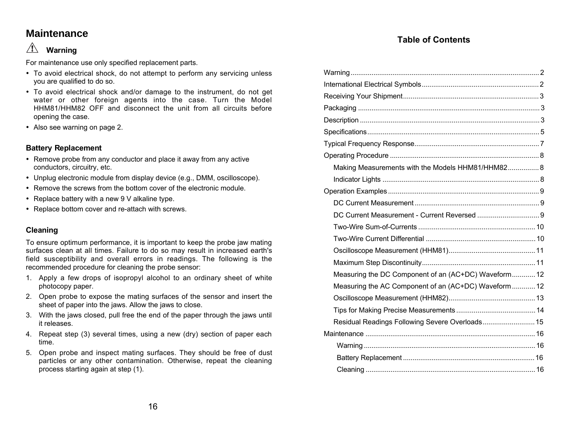## **Maintenance**

#### $\sqrt{N}$ **Warning**

For maintenance use only specified replacement parts.

- · To avoid electrical shock, do not attempt to perform any servicing unless you are qualified to do so.
- · To avoid electrical shock and/or damage to the instrument, do not get water or other foreign agents into the case. Turn the Model HHM81/HHM82 OFF and disconnect the unit from all circuits before opening the case.
- · Also see warning on page 2.

#### **Battery Replacement**

- · Remove probe from any conductor and place it away from any active conductors, circuitry, etc.
- · Unplug electronic module from display device (e.g., DMM, oscilloscope).
- · Remove the screws from the bottom cover of the electronic module.
- · Replace battery with a new 9 V alkaline type.
- · Replace bottom cover and re-attach with screws.

### **Cleaning**

To ensure optimum performance, it is important to keep the probe jaw mating surfaces clean at all times. Failure to do so may result in increased earth's field susceptibility and overall errors in readings. The following is the recommended procedure for cleaning the probe sensor:

- 1. Apply a few drops of isopropyl alcohol to an ordinary sheet of white photocopy paper.
- 2. Open probe to expose the mating surfaces of the sensor and insert the sheet of paper into the jaws. Allow the jaws to close.
- 3. With the jaws closed, pull free the end of the paper through the jaws until it releases.
- 4. Repeat step (3) several times, using a new (dry) section of paper each time.
- 5. Open probe and inspect mating surfaces. They should be free of dust particles or any other contamination. Otherwise, repeat the cleaning process starting again at step (1).

### **Table of Contents**

| Making Measurements with the Models HHM81/HHM82 8     |  |
|-------------------------------------------------------|--|
|                                                       |  |
|                                                       |  |
|                                                       |  |
|                                                       |  |
|                                                       |  |
|                                                       |  |
|                                                       |  |
|                                                       |  |
| Measuring the DC Component of an (AC+DC) Waveform 12  |  |
| Measuring the AC Component of an (AC+DC) Waveform  12 |  |
|                                                       |  |
|                                                       |  |
| Residual Readings Following Severe Overloads 15       |  |
|                                                       |  |
|                                                       |  |
|                                                       |  |
|                                                       |  |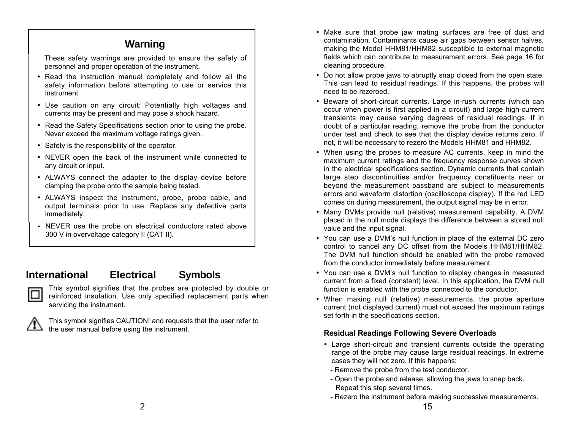## **Warning**

These safety warnings are provided to ensure the safety of personnel and proper operation of the instrument.

- · Read the instruction manual completely and follow all the safety information before attempting to use or service this instrument.
- · Use caution on any circuit: Potentially high voltages and currents may be present and may pose a shock hazard.
- · Read the Safety Specifications section prior to using the probe. Never exceed the maximum voltage ratings given.
- · Safety is the responsibility of the operator.
- · NEVER open the back of the instrument while connected to any circuit or input.
- · ALWAYS connect the adapter to the display device before clamping the probe onto the sample being tested.
- · ALWAYS inspect the instrument, probe, probe cable, and output terminals prior to use. Replace any defective parts immediately.
- · NEVER use the probe on electrical conductors rated above 300 V in overvoltage category II (CAT II).

# **International Electrical Symbols**



This symbol signifies that the probes are protected by double or reinforced insulation. Use only specified replacement parts when servicing the instrument.



This symbol signifies CAUTION! and requests that the user refer to the user manual before using the instrument.

- · Make sure that probe jaw mating surfaces are free of dust and contamination. Contaminants cause air gaps between sensor halves, making the Model HHM81/HHM82 susceptible to external magnetic fields which can contribute to measurement errors. See page 16 for cleaning procedure.
- · Do not allow probe jaws to abruptly snap closed from the open state. This can lead to residual readings. If this happens, the probes will need to be rezeroed.
- · Beware of short-circuit currents. Large in-rush currents (which can occur when power is first applied in a circuit) and large high-current transients may cause varying degrees of residual readings. If in doubt of a particular reading, remove the probe from the conductor under test and check to see that the display device returns zero. If not, it will be necessary to rezero the Models HHM81 and HHM82.
- · When using the probes to measure AC currents, keep in mind the maximum current ratings and the frequency response curves shown in the electrical specifications section. Dynamic currents that contain large step discontinuities and/or frequency constituents near or beyond the measurement passband are subject to measurements errors and waveform distortion (oscilloscope display). If the red LED comes on during measurement, the output signal may be in error.
- · Many DVMs provide null (relative) measurement capability. A DVM placed in the null mode displays the difference between a stored null value and the input signal.
- · You can use a DVM's null function in place of the external DC zero control to cancel any DC offset from the Models HHM81/HHM82. The DVM null function should be enabled with the probe removed from the conductor immediately before measurement.
- · You can use a DVM's null function to display changes in measured current from a fixed (constant) level. In this application, the DVM null function is enabled with the probe connected to the conductor.
- · When making null (relative) measurements, the probe aperture current (not displayed current) must not exceed the maximum ratings set forth in the specifications section.

#### **Residual Readings Following Severe Overloads**

- · Large short-circuit and transient currents outside the operating range of the probe may cause large residual readings. In extreme cases they will not zero. If this happens:
- Remove the probe from the test conductor.
- Open the probe and release, allowing the jaws to snap back. Repeat this step several times.
- Rezero the instrument before making successive measurements.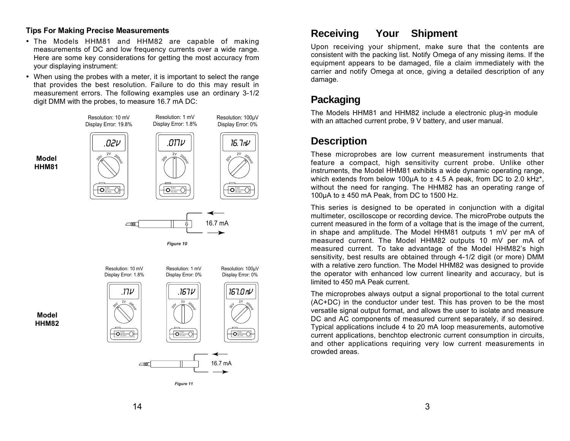#### **Tips For Making Precise Measurements**

**Model HHM81**

**Model HHM82**

- · The Models HHM81 and HHM82 are capable of making measurements of DC and low frequency currents over a wide range. Here are some key considerations for getting the most accuracy from your displaying instrument:
- · When using the probes with a meter, it is important to select the range that provides the best resolution. Failure to do this may result in measurement errors. The following examples use an ordinary 3-1/2 digit DMM with the probes, to measure 16.7 mA DC:





### **Receiving Your Shipment**

Upon receiving your shipment, make sure that the contents are consistent with the packing list. Notify Omega of any missing items. If the equipment appears to be damaged, file a claim immediately with the carrier and notify Omega at once, giving a detailed description of any damage.

## **Packaging**

The Models HHM81 and HHM82 include a electronic plug-in module with an attached current probe, 9 V battery, and user manual.

### **Description**

These microprobes are low current measurement instruments that feature a compact, high sensitivity current probe. Unlike other instruments, the Model HHM81 exhibits a wide dynamic operating range, which extends from below 100 $\mu$ A to  $\pm$  4.5 A peak, from DC to 2.0 kHz<sup>\*</sup>, without the need for ranging. The HHM82 has an operating range of 100 $\mu$ A to  $\pm$  450 mA Peak, from DC to 1500 Hz.

This series is designed to be operated in conjunction with a digital multimeter, oscilloscope or recording device. The microProbe outputs the current measured in the form of a voltage that is the image of the current, in shape and amplitude. The Model HHM81 outputs 1 mV per mA of measured current. The Model HHM82 outputs 10 mV per mA of measured current. To take advantage of the Model HHM82's high sensitivity, best results are obtained through 4-1/2 digit (or more) DMM with a relative zero function. The Model HHM82 was designed to provide the operator with enhanced low current linearity and accuracy, but is limited to 450 mA Peak current.

The microprobes always output a signal proportional to the total current (AC+DC) in the conductor under test. This has proven to be the most versatile signal output format, and allows the user to isolate and measure DC and AC components of measured current separately, if so desired. Typical applications include 4 to 20 mA loop measurements, automotive current applications, benchtop electronic current consumption in circuits, and other applications requiring very low current measurements in crowded areas.

14  $\overline{\phantom{a}}$  3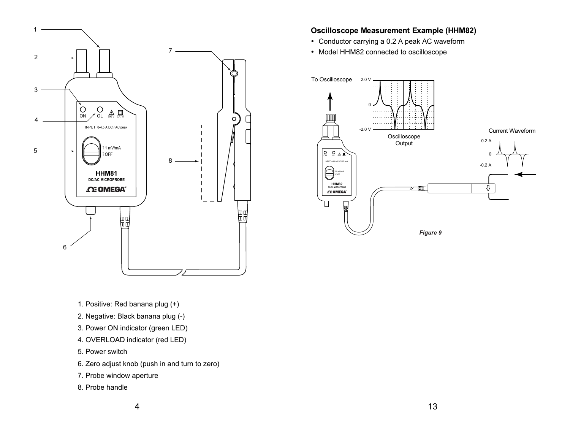

#### **Oscilloscope Measurement Example (HHM82)**

- · Conductor carrying a 0.2 A peak AC waveform
- · Model HHM82 connected to oscilloscope



1. Positive: Red banana plug (+)

- 2. Negative: Black banana plug (-)
- 3. Power ON indicator (green LED)
- 4. OVERLOAD indicator (red LED)
- 5. Power switch
- 6. Zero adjust knob (push in and turn to zero)
- 7. Probe window aperture
- 8. Probe handle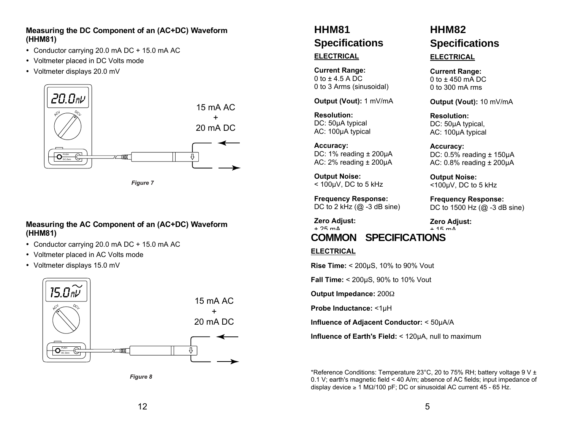#### **Measuring the DC Component of an (AC+DC) Waveform ( HHM81)**

- · Conductor carrying 20.0 mA DC + 15.0 mA AC
- · Voltmeter placed in DC Volts mode
- · Voltmeter displays 20.0 mV



*Figure 7*

#### **Measuring the AC Component of an (AC+DC) Waveform ( HHM81)**

- · Conductor carrying 20.0 mA DC + 15.0 mA AC
- · Voltmeter placed in AC Volts mode
- · Voltmeter displays 15.0 mV



*Figure 8*

# **HHM81 Specifications**

#### **ELECTRICAL**

**Current Range:** 0 to  $\pm$  4.5 A DC 0 to 3 Arms (sinusoidal)

**Output (Vout):** 1 mV/mA

**Resolution:** DC: 50µA typical AC: 100µA typical

**Accuracy:** DC: 1% reading ± 200µA AC: 2% reading ± 200µA

**Output Noise:**  $<$  100 $\mu$ V, DC to 5 kHz

**Frequency Response:** DC to 2 kHz  $(@ -3 dB \sin e)$ 

**Zero Adjust:**  $+ 25 \text{ mA}$ 

## **COMMON SPECIFICATIONS**

#### **ELECTRICAL**

**Rise Time:** < 200µS, 10% to 90% Vout

**Fall Time:** < 200µS, 90% to 10% Vout

**Output Impedance: 200** $\Omega$ 

**Probe Inductance:** <1µH

**Influence of Adjacent Conductor:** < 50µA/A

**Influence of Earth's Field:** < 120µA, null to maximum

\*Reference Conditions: Temperature 23°C, 20 to 75% RH; battery voltage 9 V  $\pm$ 0.1 V; earth's magnetic field < 40 A/m; absence of AC fields; input impedance of display device  $\geq 1$  M $\Omega$ /100 pF; DC or sinusoidal AC current 45 - 65 Hz.

# **HHM82 Specifications**

#### **ELECTRICAL**

**Current Range:** 0 to ± 450 mA DC 0 to 300 mA rms

**Output (Vout):** 10 mV/mA

**Resolution:** DC: 50µA typical, AC: 100µA typical

**Accuracy:** DC:  $0.5\%$  reading  $\pm$  150 $\mu$ A AC:  $0.8\%$  reading  $\pm$  200 $\mu$ A

**Output Noise:** <100µV, DC to 5 kHz

**Frequency Response:** DC to 1500 Hz (@ -3 dB sine)

**Zero Adjust:** ± 15 mA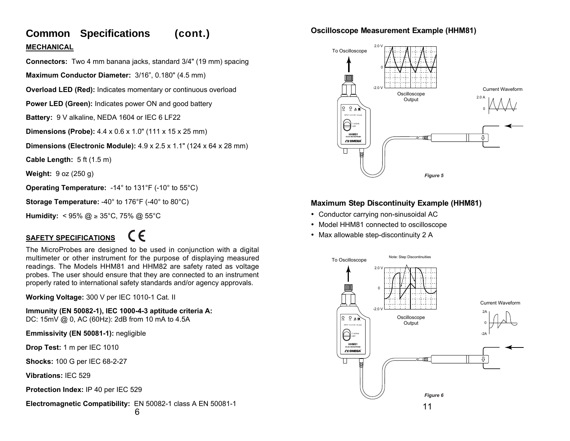# **Common Specifications (cont.) MECHANICAL**

**Connectors:** Two 4 mm banana jacks, standard 3/4" (19 mm) spacing

**Maximum Conductor Diameter:** 3/16", 0.180" (4.5 mm)

**Overload LED (Red):** Indicates momentary or continuous overload

**Power LED (Green):** Indicates power ON and good battery

**Battery:** 9 V alkaline, NEDA 1604 or IEC 6 LF22

**Dimensions (Probe):** 4.4 x 0.6 x 1.0" (111 x 15 x 25 mm)

**Dimensions (Electronic Module):** 4.9 x 2.5 x 1.1" (124 x 64 x 28 mm)

**Cable Length:** 5 ft (1.5 m)

**Weight:** 9 oz (250 g)

**Operating Temperature:** -14° to 131°F (-10° to 55°C)

**Storage Temperature:** -40° to 176°F (-40° to 80°C)

**Humidity:**  $\leq 95\%$  @  $\geq 35^{\circ}$ C, 75% @ 55°C

# **SAFETY SPECIFICATIONS**

# $\epsilon$

The MicroProbes are designed to be used in conjunction with a digital multimeter or other instrument for the purpose of displaying measured readings. The Models HHM81 and HHM82 are safety rated as voltage probes. The user should ensure that they are connected to an instrument properly rated to international safety standards and/or agency approvals.

**Working Voltage:** 300 V per IEC 1010-1 Cat. II

**Immunity (EN 50082-1), IEC 1000-4-3 aptitude criteria A:** DC: 15mV @ 0, AC (60Hz): 2dB from 10 mA to 4.5A

**Emmissivity (EN 50081-1):** negligible

**Drop Test:** 1 m per IEC 1010

**Shocks:** 100 G per IEC 68-2-27

**Vibrations:** IEC 529

**Protection Index:** IP 40 per IEC 529

**Electromagnetic Compatibility:** EN 50082-1 class A EN 50081-1

#### **Oscilloscope Measurement Example (HHM81)**



### **Maximum Step Discontinuity Example (HHM81)**

- · Conductor carrying non-sinusoidal AC
- · Model HHM81 connected to oscilloscope
- · Max allowable step-discontinuity 2 A

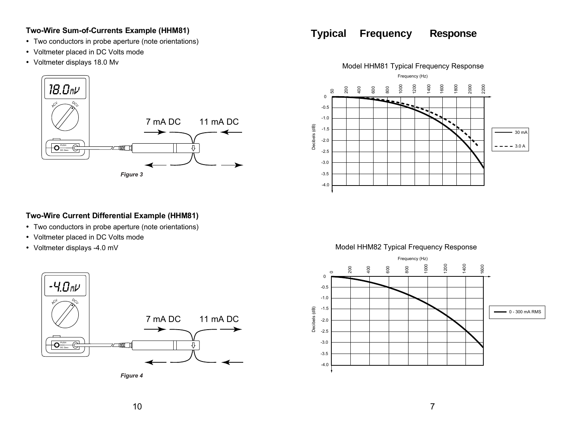#### **Two-Wire Sum-of-Currents Example (HHM81)**

- · Two conductors in probe aperture (note orientations)
- · Voltmeter placed in DC Volts mode
- · Voltmeter displays 18.0 Mv



#### **Two-Wire Current Differential Example (HHM81)**

- · Two conductors in probe aperture (note orientations)
- · Voltmeter placed in DC Volts mode
- · Voltmeter displays -4.0 mV



*Figure 4*

## **Typical Frequency Response**